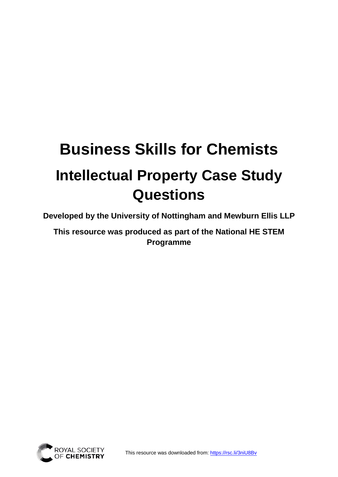# **Business Skills for Chemists Intellectual Property Case Study Questions**

**Developed by the University of Nottingham and Mewburn Ellis LLP**

**This resource was produced as part of the National HE STEM Programme** 

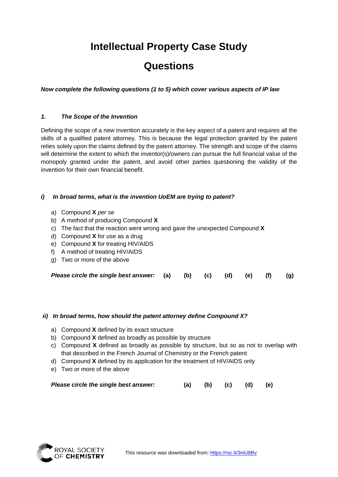## **Intellectual Property Case Study**

### **Questions**

*Now complete the following questions (1 to 5) which cover various aspects of IP law*

#### *1. The Scope of the Invention*

Defining the scope of a new invention accurately is the key aspect of a patent and requires all the skills of a qualified patent attorney. This is because the legal protection granted by the patent relies solely upon the claims defined by the patent attorney. The strength and scope of the claims will determine the extent to which the inventor(s)/owners can pursue the full financial value of the monopoly granted under the patent, and avoid other parties questioning the validity of the invention for their own financial benefit.

#### *i) In broad terms, what is the invention UoEM are trying to patent?*

- a) Compound **X** *per se*
- b) A method of producing Compound **X**
- c) The fact that the reaction went wrong and gave the unexpected Compound **X**
- d) Compound **X** for use as a drug
- e) Compound **X** for treating HIV/AIDS
- f) A method of treating HIV/AIDS
- g) Two or more of the above

| Please circle the single best answer: (a) (b) (c) (d) (e) (f) (g) |  |  |  |  |  |  |  |
|-------------------------------------------------------------------|--|--|--|--|--|--|--|
|-------------------------------------------------------------------|--|--|--|--|--|--|--|

#### *ii) In broad terms, how should the patent attorney define Compound X?*

- a) Compound **X** defined by its exact structure
- b) Compound **X** defined as broadly as possible by structure
- c) Compound **X** defined as broadly as possible by structure, but so as not to overlap with that described in the French Journal of Chemistry or the French patent
- d) Compound **X** defined by its application for the treatment of HIV/AIDS only
- e) Two or more of the above

| Please circle the single best answer: |  |  |  | (a) (b) (c) (d) (e) |  |
|---------------------------------------|--|--|--|---------------------|--|
|---------------------------------------|--|--|--|---------------------|--|

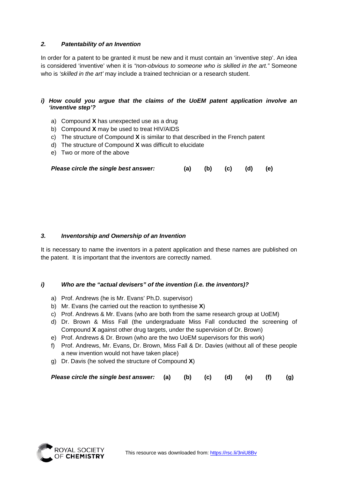#### *2. Patentability of an Invention*

In order for a patent to be granted it must be new and it must contain an 'inventive step'. An idea is considered 'inventive' when it is *"non-obvious to someone who is skilled in the art."* Someone who is *'skilled in the art'* may include a trained technician or a research student.

#### *i) How could you argue that the claims of the UoEM patent application involve an 'inventive step'?*

- a) Compound **X** has unexpected use as a drug
- b) Compound **X** may be used to treat HIV/AIDS
- c) The structure of Compound **X** is similar to that described in the French patent
- d) The structure of Compound **X** was difficult to elucidate
- e) Two or more of the above

| Please circle the single best answer: |  | (a) (b) (c) (d) (e) |  |
|---------------------------------------|--|---------------------|--|
|                                       |  |                     |  |

#### *3. Inventorship and Ownership of an Invention*

It is necessary to name the inventors in a patent application and these names are published on the patent. It is important that the inventors are correctly named.

#### *i) Who are the "actual devisers" of the invention (i.e. the inventors)?*

- a) Prof. Andrews (he is Mr. Evans' Ph.D. supervisor)
- b) Mr. Evans (he carried out the reaction to synthesise **X**)
- c) Prof. Andrews & Mr. Evans (who are both from the same research group at UoEM)
- d) Dr. Brown & Miss Fall (the undergraduate Miss Fall conducted the screening of Compound **X** against other drug targets, under the supervision of Dr. Brown)
- e) Prof. Andrews & Dr. Brown (who are the two UoEM supervisors for this work)
- f) Prof. Andrews, Mr. Evans, Dr. Brown, Miss Fall & Dr. Davies (without all of these people a new invention would not have taken place)
- g) Dr. Davis (he solved the structure of Compound **X**)

| Please circle the single best answer: (a) (b) (c) (d) (e) (f) (g) |  |  |  |  |  |  |  |
|-------------------------------------------------------------------|--|--|--|--|--|--|--|
|-------------------------------------------------------------------|--|--|--|--|--|--|--|

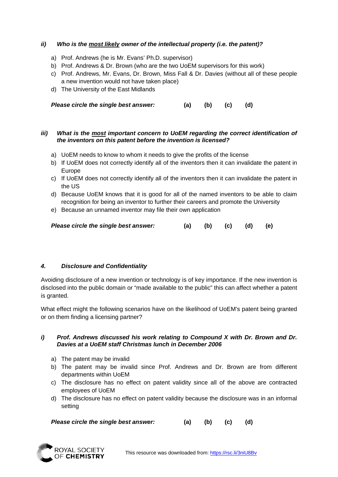#### *ii) Who is the most likely owner of the intellectual property (i.e. the patent)?*

- a) Prof. Andrews (he is Mr. Evans' Ph.D. supervisor)
- b) Prof. Andrews & Dr. Brown (who are the two UoEM supervisors for this work)
- c) Prof. Andrews, Mr. Evans, Dr. Brown, Miss Fall & Dr. Davies (without all of these people a new invention would not have taken place)
- d) The University of the East Midlands

*Please circle the single best answer:* **(a) (b) (c) (d)**

#### *iii) What is the most important concern to UoEM regarding the correct identification of the inventors on this patent before the invention is licensed?*

- a) UoEM needs to know to whom it needs to give the profits of the license
- b) If UoEM does not correctly identify all of the inventors then it can invalidate the patent in Europe
- c) If UoEM does not correctly identify all of the inventors then it can invalidate the patent in the US
- d) Because UoEM knows that it is good for all of the named inventors to be able to claim recognition for being an inventor to further their careers and promote the University
- e) Because an unnamed inventor may file their own application

| Please circle the single best answer: |  |  |  | (a) (b) (c) (d) (e) |  |
|---------------------------------------|--|--|--|---------------------|--|
|---------------------------------------|--|--|--|---------------------|--|

#### *4. Disclosure and Confidentiality*

Avoiding disclosure of a new invention or technology is of key importance. If the new invention is disclosed into the public domain or "made available to the public" this can affect whether a patent is granted.

What effect might the following scenarios have on the likelihood of UoEM's patent being granted or on them finding a licensing partner?

#### *i) Prof. Andrews discussed his work relating to Compound X with Dr. Brown and Dr. Davies at a UoEM staff Christmas lunch in December 2006*

- a) The patent may be invalid
- b) The patent may be invalid since Prof. Andrews and Dr. Brown are from different departments within UoEM
- c) The disclosure has no effect on patent validity since all of the above are contracted employees of UoEM
- d) The disclosure has no effect on patent validity because the disclosure was in an informal setting

*Please circle the single best answer:* **(a) (b) (c) (d)**

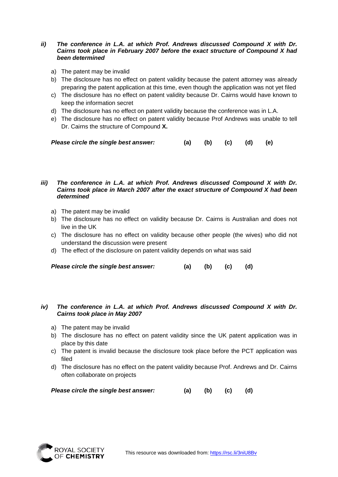#### *ii) The conference in L.A. at which Prof. Andrews discussed Compound X with Dr. Cairns took place in February 2007 before the exact structure of Compound X had been determined*

- a) The patent may be invalid
- b) The disclosure has no effect on patent validity because the patent attorney was already preparing the patent application at this time, even though the application was not yet filed
- c) The disclosure has no effect on patent validity because Dr. Cairns would have known to keep the information secret
- d) The disclosure has no effect on patent validity because the conference was in L.A.
- e) The disclosure has no effect on patent validity because Prof Andrews was unable to tell Dr. Cairns the structure of Compound **X.**

| Please circle the single best answer: |  |  | (a) (b) (c) (d) (e) |  |  |
|---------------------------------------|--|--|---------------------|--|--|
|---------------------------------------|--|--|---------------------|--|--|

#### *iii) The conference in L.A. at which Prof. Andrews discussed Compound X with Dr. Cairns took place in March 2007 after the exact structure of Compound X had been determined*

- a) The patent may be invalid
- b) The disclosure has no effect on validity because Dr. Cairns is Australian and does not live in the UK
- c) The disclosure has no effect on validity because other people (the wives) who did not understand the discussion were present
- d) The effect of the disclosure on patent validity depends on what was said

*Please circle the single best answer:* **(a) (b) (c) (d)**

#### *iv) The conference in L.A. at which Prof. Andrews discussed Compound X with Dr. Cairns took place in May 2007*

- a) The patent may be invalid
- b) The disclosure has no effect on patent validity since the UK patent application was in place by this date
- c) The patent is invalid because the disclosure took place before the PCT application was filed
- d) The disclosure has no effect on the patent validity because Prof. Andrews and Dr. Cairns often collaborate on projects

| Please circle the single best answer: |  | (a) (b) (c) (d) |  |  |
|---------------------------------------|--|-----------------|--|--|
|---------------------------------------|--|-----------------|--|--|